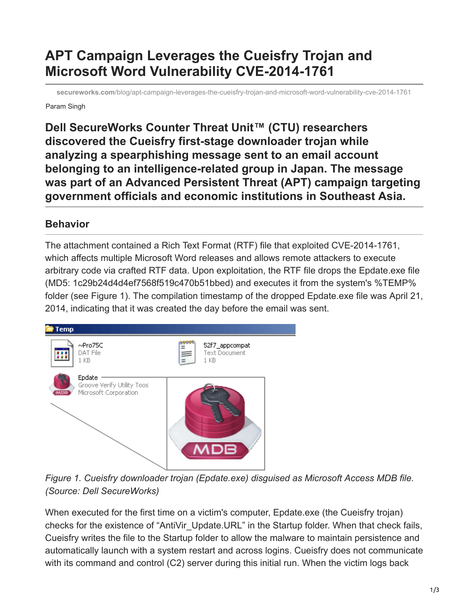## **APT Campaign Leverages the Cueisfry Trojan and Microsoft Word Vulnerability CVE-2014-1761**

**secureworks.com**[/blog/apt-campaign-leverages-the-cueisfry-trojan-and-microsoft-word-vulnerability-cve-2014-1761](https://www.secureworks.com/blog/apt-campaign-leverages-the-cueisfry-trojan-and-microsoft-word-vulnerability-cve-2014-1761)

Param Singh

**Dell SecureWorks Counter Threat Unit™ (CTU) researchers discovered the Cueisfry first-stage downloader trojan while analyzing a spearphishing message sent to an email account belonging to an intelligence-related group in Japan. The message was part of an Advanced Persistent Threat (APT) campaign targeting government officials and economic institutions in Southeast Asia.**

## **Behavior**

The attachment contained a Rich Text Format (RTF) file that exploited CVE-2014-1761, which affects multiple Microsoft Word releases and allows remote attackers to execute arbitrary code via crafted RTF data. Upon exploitation, the RTF file drops the Epdate.exe file (MD5: 1c29b24d4d4ef7568f519c470b51bbed) and executes it from the system's %TEMP% folder (see Figure 1). The compilation timestamp of the dropped Epdate.exe file was April 21, 2014, indicating that it was created the day before the email was sent.



*Figure 1. Cueisfry downloader trojan (Epdate.exe) disguised as Microsoft Access MDB file. (Source: Dell SecureWorks)*

When executed for the first time on a victim's computer, Epdate.exe (the Cueisfry trojan) checks for the existence of "AntiVir Update.URL" in the Startup folder. When that check fails, Cueisfry writes the file to the Startup folder to allow the malware to maintain persistence and automatically launch with a system restart and across logins. Cueisfry does not communicate with its command and control (C2) server during this initial run. When the victim logs back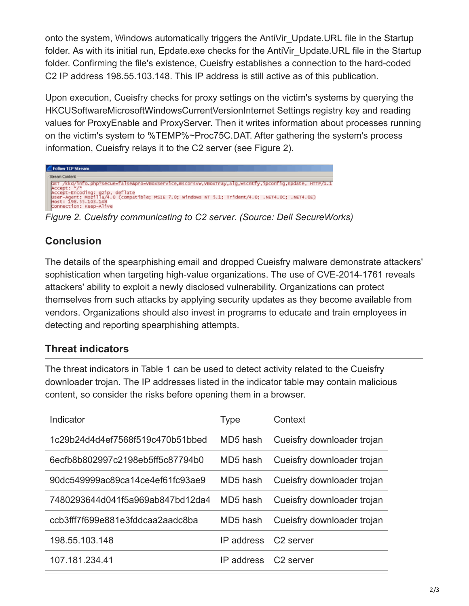onto the system, Windows automatically triggers the AntiVir\_Update.URL file in the Startup folder. As with its initial run, Epdate.exe checks for the AntiVir Update.URL file in the Startup folder. Confirming the file's existence, Cueisfry establishes a connection to the hard-coded C2 IP address 198.55.103.148. This IP address is still active as of this publication.

Upon execution, Cueisfry checks for proxy settings on the victim's systems by querying the HKCUSoftwareMicrosoftWindowsCurrentVersionInternet Settings registry key and reading values for ProxyEnable and ProxyServer. Then it writes information about processes running on the victim's system to %TEMP%~Proc75C.DAT. After gathering the system's process information, Cueisfry relays it to the C2 server (see Figure 2).



## **Conclusion**

The details of the spearphishing email and dropped Cueisfry malware demonstrate attackers' sophistication when targeting high-value organizations. The use of CVE-2014-1761 reveals attackers' ability to exploit a newly disclosed vulnerability. Organizations can protect themselves from such attacks by applying security updates as they become available from vendors. Organizations should also invest in programs to educate and train employees in detecting and reporting spearphishing attempts.

## **Threat indicators**

The threat indicators in Table 1 can be used to detect activity related to the Cueisfry downloader trojan. The IP addresses listed in the indicator table may contain malicious content, so consider the risks before opening them in a browser.

| Indicator                        | <b>Type</b> | Context                    |
|----------------------------------|-------------|----------------------------|
| 1c29b24d4d4ef7568f519c470b51bbed | MD5 hash    | Cueisfry downloader trojan |
| 6ecfb8b802997c2198eb5ff5c87794b0 | MD5 hash    | Cueisfry downloader trojan |
| 90dc549999ac89ca14ce4ef61fc93ae9 | MD5 hash    | Cueisfry downloader trojan |
| 7480293644d041f5a969ab847bd12da4 | MD5 hash    | Cueisfry downloader troian |
| ccb3fff7f699e881e3fddcaa2aadc8ba | MD5 hash    | Cueisfry downloader trojan |
| 198.55.103.148                   | IP address  | C <sub>2</sub> server      |
| 107 181 234 41                   | IP address  | C <sub>2</sub> server      |